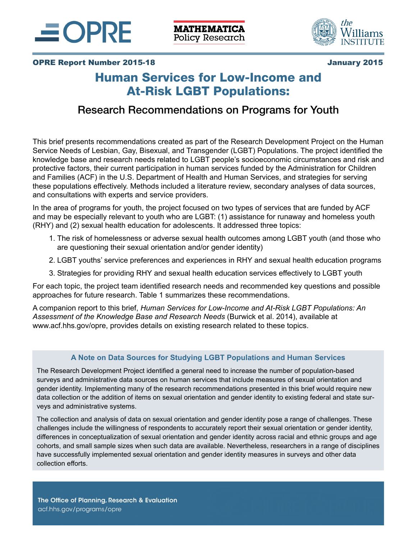



## OPRE Report Number 2015-18 January 2015

# Human Services for Low-Income and At-Risk LGBT Populations:

# Research Recommendations on Programs for Youth

This brief presents recommendations created as part of the Research Development Project on the Human Service Needs of Lesbian, Gay, Bisexual, and Transgender (LGBT) Populations. The project identified the knowledge base and research needs related to LGBT people's socioeconomic circumstances and risk and protective factors, their current participation in human services funded by the Administration for Children and Families (ACF) in the U.S. Department of Health and Human Services, and strategies for serving these populations effectively. Methods included a literature review, secondary analyses of data sources, and consultations with experts and service providers.

In the area of programs for youth, the project focused on two types of services that are funded by ACF and may be especially relevant to youth who are LGBT: (1) assistance for runaway and homeless youth (RHY) and (2) sexual health education for adolescents. It addressed three topics:

- 1. The risk of homelessness or adverse sexual health outcomes among LGBT youth (and those who are questioning their sexual orientation and/or gender identity)
- 2. LGBT youths' service preferences and experiences in RHY and sexual health education programs
- 3. Strategies for providing RHY and sexual health education services effectively to LGBT youth

For each topic, the project team identified research needs and recommended key questions and possible approaches for future research. Table 1 summarizes these recommendations.

A companion report to this brief, *Human Services for Low-Income and At-Risk LGBT Populations: An Assessment of the Knowledge Base and Research Needs* (Burwick et al. 2014), available at www.acf.hhs.gov/opre, provides details on existing research related to these topics.

#### **A Note on Data Sources for Studying LGBT Populations and Human Services**

The Research Development Project identified a general need to increase the number of population-based surveys and administrative data sources on human services that include measures of sexual orientation and gender identity. Implementing many of the research recommendations presented in this brief would require new data collection or the addition of items on sexual orientation and gender identity to existing federal and state surveys and administrative systems.

The collection and analysis of data on sexual orientation and gender identity pose a range of challenges. These challenges include the willingness of respondents to accurately report their sexual orientation or gender identity, differences in conceptualization of sexual orientation and gender identity across racial and ethnic groups and age cohorts, and small sample sizes when such data are available. Nevertheless, researchers in a range of disciplines have successfully implemented sexual orientation and gender identity measures in surveys and other data collection efforts.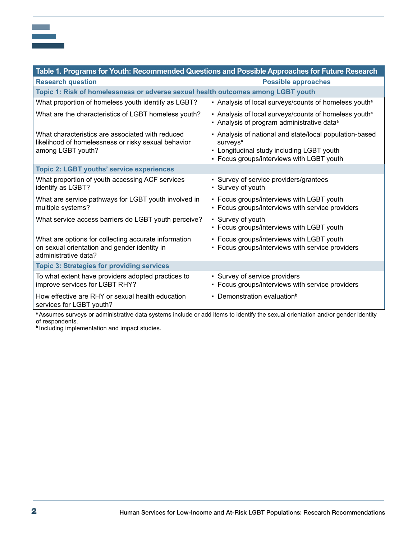| Table 1. Programs for Youth: Recommended Questions and Possible Approaches for Future Research                                  |                                                                                                                                                                           |
|---------------------------------------------------------------------------------------------------------------------------------|---------------------------------------------------------------------------------------------------------------------------------------------------------------------------|
| <b>Research question</b>                                                                                                        | <b>Possible approaches</b>                                                                                                                                                |
| Topic 1: Risk of homelessness or adverse sexual health outcomes among LGBT youth                                                |                                                                                                                                                                           |
| What proportion of homeless youth identify as LGBT?                                                                             | - Analysis of local surveys/counts of homeless youth <sup>a</sup>                                                                                                         |
| What are the characteristics of LGBT homeless youth?                                                                            | • Analysis of local surveys/counts of homeless youth <sup>a</sup><br>• Analysis of program administrative data <sup>a</sup>                                               |
| What characteristics are associated with reduced<br>likelihood of homelessness or risky sexual behavior<br>among LGBT youth?    | - Analysis of national and state/local population-based<br>surveys <sup>a</sup><br>- Longitudinal study including LGBT youth<br>- Focus groups/interviews with LGBT youth |
| <b>Topic 2: LGBT youths' service experiences</b>                                                                                |                                                                                                                                                                           |
| What proportion of youth accessing ACF services<br>identify as LGBT?                                                            | • Survey of service providers/grantees<br>• Survey of youth                                                                                                               |
| What are service pathways for LGBT youth involved in<br>multiple systems?                                                       | • Focus groups/interviews with LGBT youth<br>• Focus groups/interviews with service providers                                                                             |
| What service access barriers do LGBT youth perceive?                                                                            | • Survey of youth<br>- Focus groups/interviews with LGBT youth                                                                                                            |
| What are options for collecting accurate information<br>on sexual orientation and gender identity in<br>administrative data?    | - Focus groups/interviews with LGBT youth<br>- Focus groups/interviews with service providers                                                                             |
| <b>Topic 3: Strategies for providing services</b>                                                                               |                                                                                                                                                                           |
| To what extent have providers adopted practices to<br>improve services for LGBT RHY?                                            | • Survey of service providers<br>- Focus groups/interviews with service providers                                                                                         |
| How effective are RHY or sexual health education<br>services for LGBT youth?                                                    | • Demonstration evaluation <sup>b</sup>                                                                                                                                   |
| a Assumes surveys or administrative data systems include or add items to identify the sexual orientation and/or gender identity |                                                                                                                                                                           |

of respondents.

 $\sim$ 

**b** Including implementation and impact studies.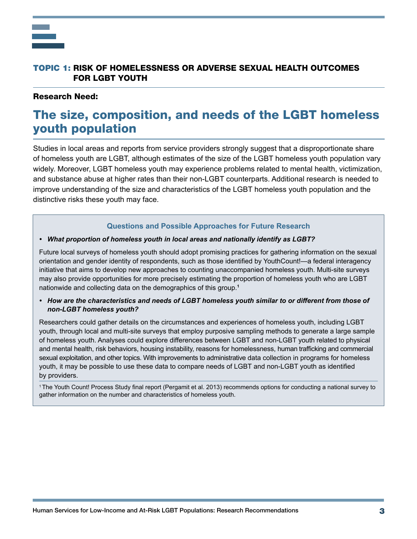

#### Research Need:

# The size, composition, and needs of the LGBT homeless youth population

Studies in local areas and reports from service providers strongly suggest that a disproportionate share of homeless youth are LGBT, although estimates of the size of the LGBT homeless youth population vary widely. Moreover, LGBT homeless youth may experience problems related to mental health, victimization, and substance abuse at higher rates than their non-LGBT counterparts. Additional research is needed to improve understanding of the size and characteristics of the LGBT homeless youth population and the distinctive risks these youth may face.

#### **Questions and Possible Approaches for Future Research**

#### • What proportion of homeless youth in local areas and nationally *identify* as LGBT?

Future local surveys of homeless youth should adopt promising practices for gathering information on the sexual orientation and gender identity of respondents, such as those identified by YouthCount!—a federal interagency initiative that aims to develop new approaches to counting unaccompanied homeless youth. Multi-site surveys may also provide opportunities for more precisely estimating the proportion of homeless youth who are LGBT nationwide and collecting data on the demographics of this group.**<sup>1</sup>**

 *non-LGBT homeless youth?* • How are the characteristics and needs of LGBT homeless youth similar to or different from those of

Researchers could gather details on the circumstances and experiences of homeless youth, including LGBT youth, through local and multi-site surveys that employ purposive sampling methods to generate a large sample of homeless youth. Analyses could explore differences between LGBT and non-LGBT youth related to physical and mental health, risk behaviors, housing instability, reasons for homelessness, human trafficking and commercial sexual exploitation, and other topics. With improvements to administrative data collection in programs for homeless youth, it may be possible to use these data to compare needs of LGBT and non-LGBT youth as identified by providers.

<sup>1</sup>The Youth Count! Process Study final report (Pergamit et al. 2013) recommends options for conducting a national survey to gather information on the number and characteristics of homeless youth.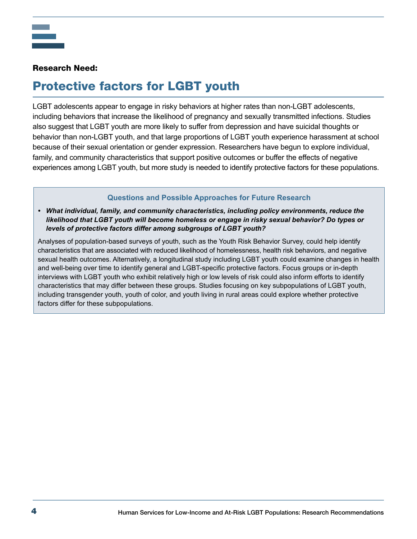### Research Need:

# Protective factors for LGBT youth

LGBT adolescents appear to engage in risky behaviors at higher rates than non-LGBT adolescents, including behaviors that increase the likelihood of pregnancy and sexually transmitted infections. Studies also suggest that LGBT youth are more likely to suffer from depression and have suicidal thoughts or behavior than non-LGBT youth, and that large proportions of LGBT youth experience harassment at school because of their sexual orientation or gender expression. Researchers have begun to explore individual, family, and community characteristics that support positive outcomes or buffer the effects of negative experiences among LGBT youth, but more study is needed to identify protective factors for these populations.

### **Questions and Possible Approaches for Future Research**

 *levels of protective factors differ among subgroups of LGBT youth? • What individual, family, and community characteristics, including policy environments, reduce the likelihood that LGBT youth will become homeless or engage in risky sexual behavior? Do types or* 

Analyses of population-based surveys of youth, such as the Youth Risk Behavior Survey, could help identify characteristics that are associated with reduced likelihood of homelessness, health risk behaviors, and negative sexual health outcomes. Alternatively, a longitudinal study including LGBT youth could examine changes in health and well-being over time to identify general and LGBT-specific protective factors. Focus groups or in-depth interviews with LGBT youth who exhibit relatively high or low levels of risk could also inform efforts to identify characteristics that may differ between these groups. Studies focusing on key subpopulations of LGBT youth, including transgender youth, youth of color, and youth living in rural areas could explore whether protective factors differ for these subpopulations.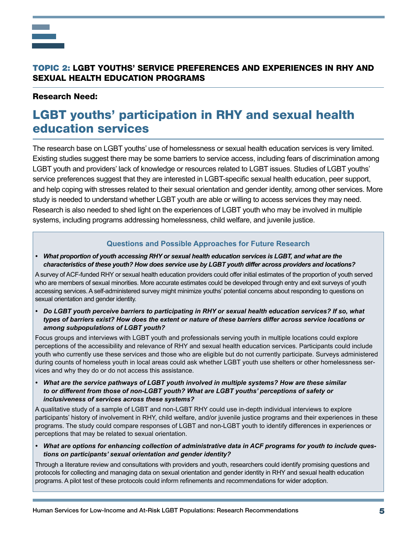# TOPIC 2: LGBT YOUTHS' SERVICE PREFERENCES AND EXPERIENCES IN RHY AND SEXUAL HEALTH EDUCATION PROGRAMS

#### Research Need:

# LGBT youths' participation in RHY and sexual health education services

The research base on LGBT youths' use of homelessness or sexual health education services is very limited. Existing studies suggest there may be some barriers to service access, including fears of discrimination among LGBT youth and providers' lack of knowledge or resources related to LGBT issues. Studies of LGBT youths' service preferences suggest that they are interested in LGBT-specific sexual health education, peer support, and help coping with stresses related to their sexual orientation and gender identity, among other services. More study is needed to understand whether LGBT youth are able or willing to access services they may need. Research is also needed to shed light on the experiences of LGBT youth who may be involved in multiple systems, including programs addressing homelessness, child welfare, and juvenile justice.

#### **Questions and Possible Approaches for Future Research**

**•** *What* proportion of youth accessing RHY or sexual health education services is LGBT, and what are the *characteristics* of these youth? How does service use by LGBT youth differ across providers and locations?

A survey of ACF-funded RHY or sexual health education providers could offer initial estimates of the proportion of youth served who are members of sexual minorities. More accurate estimates could be developed through entry and exit surveys of youth accessing services. A self-administered survey might minimize youths' potential concerns about responding to questions on sexual orientation and gender identity.

**•** Do LGBT youth perceive barriers to participating in RHY or sexual health education services? If so, what *types* of barriers exist? How does the extent or nature of these barriers differ across service locations or among subpopulations of LGBT youth?

Focus groups and interviews with LGBT youth and professionals serving youth in multiple locations could explore perceptions of the accessibility and relevance of RHY and sexual health education services. Participants could include youth who currently use these services and those who are eligible but do not currently participate. Surveys administered during counts of homeless youth in local areas could ask whether LGBT youth use shelters or other homelessness services and why they do or do not access this assistance.

• What are the service pathways of LGBT youth involved in multiple systems? How are these similar *to* or different from those of non-LGBT youth? What are LGBT youths' perceptions of safety or *inclusiveness of services across these systems?*

A qualitative study of a sample of LGBT and non-LGBT RHY could use in-depth individual interviews to explore participants' history of involvement in RHY, child welfare, and/or juvenile justice programs and their experiences in these programs. The study could compare responses of LGBT and non-LGBT youth to identify differences in experiences or perceptions that may be related to sexual orientation.

 *• What are options for enhancing collection of administrative data in ACF programs for youth to include questions on participants' sexual orientation and gender identity?*

Through a literature review and consultations with providers and youth, researchers could identify promising questions and protocols for collecting and managing data on sexual orientation and gender identity in RHY and sexual health education programs. A pilot test of these protocols could inform refinements and recommendations for wider adoption.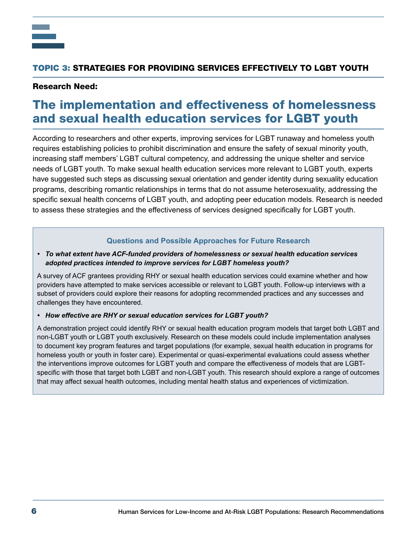

## TOPIC 3: STRATEGIES FOR PROVIDING SERVICES EFFECTIVELY TO LGBT YOUTH

### Research Need:

# The implementation and effectiveness of homelessness and sexual health education services for LGBT youth

According to researchers and other experts, improving services for LGBT runaway and homeless youth requires establishing policies to prohibit discrimination and ensure the safety of sexual minority youth, increasing staff members' LGBT cultural competency, and addressing the unique shelter and service needs of LGBT youth. To make sexual health education services more relevant to LGBT youth, experts have suggested such steps as discussing sexual orientation and gender identity during sexuality education programs, describing romantic relationships in terms that do not assume heterosexuality, addressing the specific sexual health concerns of LGBT youth, and adopting peer education models. Research is needed to assess these strategies and the effectiveness of services designed specifically for LGBT youth.

#### **Questions and Possible Approaches for Future Research**

#### *• To what extent have ACF-funded providers of homelessness or sexual health education services* adopted practices intended to improve services for LGBT homeless youth?

A survey of ACF grantees providing RHY or sexual health education services could examine whether and how providers have attempted to make services accessible or relevant to LGBT youth. Follow-up interviews with a subset of providers could explore their reasons for adopting recommended practices and any successes and challenges they have encountered.

#### *• How effective are RHY or sexual education services for LGBT youth?*

A demonstration project could identify RHY or sexual health education program models that target both LGBT and non-LGBT youth or LGBT youth exclusively. Research on these models could include implementation analyses to document key program features and target populations (for example, sexual health education in programs for homeless youth or youth in foster care). Experimental or quasi-experimental evaluations could assess whether the interventions improve outcomes for LGBT youth and compare the effectiveness of models that are LGBTspecific with those that target both LGBT and non-LGBT youth. This research should explore a range of outcomes that may affect sexual health outcomes, including mental health status and experiences of victimization.